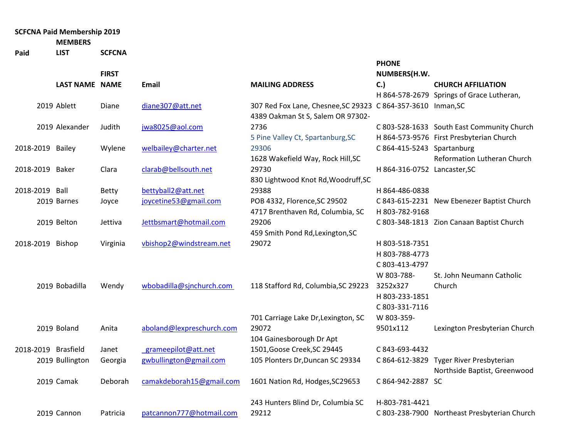## **SCFCNA Paid Membership 2019**

**MEMBERS** 

**Paid LIST SCFCNA**

|                     |                       | <b>FIRST</b> |                           |                                                              | <b>PHONE</b><br>NUMBERS(H.W. |                                              |
|---------------------|-----------------------|--------------|---------------------------|--------------------------------------------------------------|------------------------------|----------------------------------------------|
|                     | <b>LAST NAME NAME</b> |              | Email                     | <b>MAILING ADDRESS</b>                                       | C.                           | <b>CHURCH AFFILIATION</b>                    |
|                     |                       |              |                           |                                                              |                              | H 864-578-2679 Springs of Grace Lutheran,    |
|                     | 2019 Ablett           | Diane        | diane307@att.net          | 307 Red Fox Lane, Chesnee, SC 29323 C 864-357-3610 Inman, SC |                              |                                              |
|                     |                       |              |                           | 4389 Oakman St S, Salem OR 97302-                            |                              |                                              |
|                     | 2019 Alexander        | Judith       | jwa8025@aol.com           | 2736                                                         |                              | C 803-528-1633 South East Community Church   |
|                     |                       |              |                           | 5 Pine Valley Ct, Spartanburg, SC                            |                              | H 864-573-9576 First Presbyterian Church     |
| 2018-2019 Bailey    |                       | Wylene       | welbailey@charter.net     | 29306                                                        | C 864-415-5243 Spartanburg   |                                              |
|                     |                       |              |                           | 1628 Wakefield Way, Rock Hill, SC                            |                              | Reformation Lutheran Church                  |
| 2018-2019 Baker     |                       | Clara        | clarab@bellsouth.net      | 29730                                                        | H 864-316-0752 Lancaster, SC |                                              |
|                     |                       |              |                           | 830 Lightwood Knot Rd, Woodruff, SC                          |                              |                                              |
| 2018-2019 Ball      |                       | <b>Betty</b> | bettyball2@att.net        | 29388                                                        | H 864-486-0838               |                                              |
|                     | 2019 Barnes           | Joyce        | joycetine53@gmail.com     | POB 4332, Florence, SC 29502                                 |                              | C 843-615-2231 New Ebenezer Baptist Church   |
|                     |                       |              |                           | 4717 Brenthaven Rd, Columbia, SC                             | H 803-782-9168               |                                              |
|                     | 2019 Belton           | Jettiva      | Jettbsmart@hotmail.com    | 29206                                                        |                              | C 803-348-1813 Zion Canaan Baptist Church    |
|                     |                       |              |                           | 459 Smith Pond Rd, Lexington, SC                             |                              |                                              |
| 2018-2019 Bishop    |                       | Virginia     | vbishop2@windstream.net   | 29072                                                        | H 803-518-7351               |                                              |
|                     |                       |              |                           |                                                              | H 803-788-4773               |                                              |
|                     |                       |              |                           |                                                              | C 803-413-4797               |                                              |
|                     |                       |              |                           |                                                              | W 803-788-                   | St. John Neumann Catholic                    |
|                     | 2019 Bobadilla        | Wendy        | wbobadilla@sjnchurch.com  | 118 Stafford Rd, Columbia, SC 29223                          | 3252x327                     | Church                                       |
|                     |                       |              |                           |                                                              | H 803-233-1851               |                                              |
|                     |                       |              |                           |                                                              | C 803-331-7116               |                                              |
|                     |                       |              |                           | 701 Carriage Lake Dr, Lexington, SC                          | W 803-359-                   |                                              |
|                     | 2019 Boland           | Anita        | aboland@lexpreschurch.com | 29072                                                        | 9501x112                     | Lexington Presbyterian Church                |
|                     |                       |              |                           | 104 Gainesborough Dr Apt                                     |                              |                                              |
| 2018-2019 Brasfield |                       | Janet        | grameepilot@att.net       | 1501, Goose Creek, SC 29445                                  | C 843-693-4432               |                                              |
|                     | 2019 Bullington       | Georgia      | gwbullington@gmail.com    | 105 Plonters Dr, Duncan SC 29334                             |                              | C 864-612-3829 Tyger River Presbyterian      |
|                     |                       |              |                           |                                                              |                              | Northside Baptist, Greenwood                 |
|                     | 2019 Camak            | Deborah      | camakdeborah15@gmail.com  | 1601 Nation Rd, Hodges, SC29653                              | C 864-942-2887 SC            |                                              |
|                     |                       |              |                           | 243 Hunters Blind Dr, Columbia SC                            | H-803-781-4421               |                                              |
|                     | 2019 Cannon           | Patricia     | patcannon777@hotmail.com  | 29212                                                        |                              | C 803-238-7900 Northeast Presbyterian Church |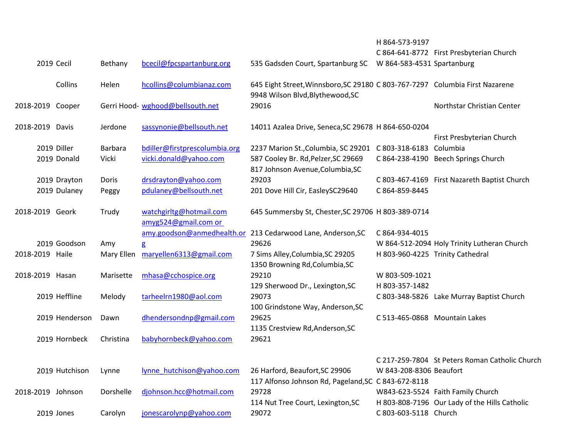|                   |                |            |                                                 |                                                                                                                  | H 864-573-9197                   |                                                |
|-------------------|----------------|------------|-------------------------------------------------|------------------------------------------------------------------------------------------------------------------|----------------------------------|------------------------------------------------|
|                   |                |            |                                                 |                                                                                                                  |                                  | C 864-641-8772 First Presbyterian Church       |
|                   | 2019 Cecil     | Bethany    | bcecil@fpcspartanburg.org                       | 535 Gadsden Court, Spartanburg SC                                                                                | W 864-583-4531 Spartanburg       |                                                |
|                   | Collins        | Helen      | hcollins@columbianaz.com                        | 645 Eight Street, Winnsboro, SC 29180 C 803-767-7297 Columbia First Nazarene<br>9948 Wilson Blvd, Blythewood, SC |                                  |                                                |
| 2018-2019 Cooper  |                |            | Gerri Hood- wghood@bellsouth.net                | 29016                                                                                                            |                                  | Northstar Christian Center                     |
| 2018-2019 Davis   |                | Jerdone    | sassynonie@bellsouth.net                        | 14011 Azalea Drive, Seneca, SC 29678 H 864-650-0204                                                              |                                  |                                                |
|                   |                |            |                                                 |                                                                                                                  |                                  | First Presbyterian Church                      |
|                   | 2019 Diller    | Barbara    | bdiller@firstprescolumbia.org                   | 2237 Marion St., Columbia, SC 29201 C 803-318-6183 Columbia                                                      |                                  |                                                |
|                   | 2019 Donald    | Vicki      | vicki.donald@yahoo.com                          | 587 Cooley Br. Rd, Pelzer, SC 29669<br>817 Johnson Avenue, Columbia, SC                                          |                                  | C 864-238-4190 Beech Springs Church            |
|                   | 2019 Drayton   | Doris      | drsdrayton@yahoo.com                            | 29203                                                                                                            |                                  | C 803-467-4169 First Nazareth Baptist Church   |
|                   | 2019 Dulaney   | Peggy      | pdulaney@bellsouth.net                          | 201 Dove Hill Cir, EasleySC29640                                                                                 | C 864-859-8445                   |                                                |
| 2018-2019 Geork   |                | Trudy      | watchgirltg@hotmail.com<br>amyg524@gmail.com or | 645 Summersby St, Chester, SC 29706 H 803-389-0714                                                               |                                  |                                                |
|                   |                |            | amy.goodson@anmedhealth.or                      | 213 Cedarwood Lane, Anderson, SC                                                                                 | C 864-934-4015                   |                                                |
|                   | 2019 Goodson   | Amy        | g                                               | 29626                                                                                                            |                                  | W 864-512-2094 Holy Trinity Lutheran Church    |
| 2018-2019 Haile   |                | Mary Ellen | maryellen6313@gmail.com                         | 7 Sims Alley, Columbia, SC 29205<br>1350 Browning Rd, Columbia, SC                                               | H 803-960-4225 Trinity Cathedral |                                                |
| 2018-2019 Hasan   |                | Marisette  | mhasa@cchospice.org                             | 29210                                                                                                            | W 803-509-1021                   |                                                |
|                   |                |            |                                                 | 129 Sherwood Dr., Lexington, SC                                                                                  | H 803-357-1482                   |                                                |
|                   | 2019 Heffline  | Melody     | tarheelrn1980@aol.com                           | 29073                                                                                                            |                                  | C 803-348-5826 Lake Murray Baptist Church      |
|                   |                |            |                                                 | 100 Grindstone Way, Anderson, SC                                                                                 |                                  |                                                |
|                   | 2019 Henderson | Dawn       | dhendersondnp@gmail.com                         | 29625                                                                                                            | C 513-465-0868 Mountain Lakes    |                                                |
|                   |                |            |                                                 | 1135 Crestview Rd, Anderson, SC                                                                                  |                                  |                                                |
|                   | 2019 Hornbeck  | Christina  | babyhornbeck@yahoo.com                          | 29621                                                                                                            |                                  |                                                |
|                   |                |            |                                                 |                                                                                                                  |                                  | C 217-259-7804 St Peters Roman Catholic Church |
|                   | 2019 Hutchison | Lynne      | lynne hutchison@yahoo.com                       | 26 Harford, Beaufort, SC 29906                                                                                   | W 843-208-8306 Beaufort          |                                                |
|                   |                |            |                                                 | 117 Alfonso Johnson Rd, Pageland, SC C 843-672-8118                                                              |                                  |                                                |
| 2018-2019 Johnson |                | Dorshelle  | djohnson.hcc@hotmail.com                        | 29728                                                                                                            |                                  | W843-623-5524 Faith Family Church              |
|                   |                |            |                                                 | 114 Nut Tree Court, Lexington, SC                                                                                |                                  | H 803-808-7196 Our Lady of the Hills Catholic  |
|                   | 2019 Jones     | Carolyn    | jonescarolynp@yahoo.com                         | 29072                                                                                                            | C 803-603-5118 Church            |                                                |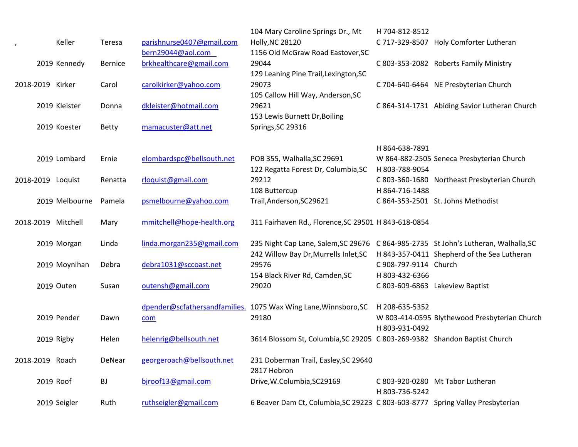|                          |                    |              |                           | 104 Mary Caroline Springs Dr., Mt                                                   | H 704-812-8512        |                                               |
|--------------------------|--------------------|--------------|---------------------------|-------------------------------------------------------------------------------------|-----------------------|-----------------------------------------------|
| $\overline{\phantom{a}}$ | Keller             | Teresa       | parishnurse0407@gmail.com | <b>Holly, NC 28120</b>                                                              |                       | C 717-329-8507 Holy Comforter Lutheran        |
|                          |                    |              | bern29044@aol.com         | 1156 Old McGraw Road Eastover, SC                                                   |                       |                                               |
|                          | 2019 Kennedy       | Bernice      | brkhealthcare@gmail.com   | 29044                                                                               |                       | C 803-353-2082 Roberts Family Ministry        |
|                          |                    |              |                           | 129 Leaning Pine Trail, Lexington, SC                                               |                       |                                               |
| 2018-2019 Kirker         |                    | Carol        | carolkirker@yahoo.com     | 29073                                                                               |                       | C 704-640-6464 NE Presbyterian Church         |
|                          |                    |              |                           | 105 Callow Hill Way, Anderson, SC                                                   |                       |                                               |
|                          | 2019 Kleister      | Donna        | dkleister@hotmail.com     | 29621                                                                               |                       | C 864-314-1731 Abiding Savior Lutheran Church |
|                          |                    |              |                           | 153 Lewis Burnett Dr, Boiling                                                       |                       |                                               |
|                          | 2019 Koester       | <b>Betty</b> | mamacuster@att.net        | Springs, SC 29316                                                                   |                       |                                               |
|                          |                    |              |                           |                                                                                     | H 864-638-7891        |                                               |
|                          | 2019 Lombard       | Ernie        | elombardspc@bellsouth.net | POB 355, Walhalla, SC 29691                                                         |                       | W 864-882-2505 Seneca Presbyterian Church     |
|                          |                    |              |                           | 122 Regatta Forest Dr, Columbia, SC                                                 | H 803-788-9054        |                                               |
|                          | 2018-2019 Loquist  | Renatta      | rloquist@gmail.com        | 29212                                                                               |                       | C 803-360-1680 Northeast Presbyterian Church  |
|                          |                    |              |                           | 108 Buttercup                                                                       | H 864-716-1488        |                                               |
|                          | 2019 Melbourne     | Pamela       | psmelbourne@yahoo.com     | Trail, Anderson, SC29621                                                            |                       | C 864-353-2501 St. Johns Methodist            |
|                          | 2018-2019 Mitchell | Mary         | mmitchell@hope-health.org | 311 Fairhaven Rd., Florence, SC 29501 H 843-618-0854                                |                       |                                               |
|                          | 2019 Morgan        | Linda        | linda.morgan235@gmail.com | 235 Night Cap Lane, Salem, SC 29676 C 864-985-2735 St John's Lutheran, Walhalla, SC |                       |                                               |
|                          |                    |              |                           | 242 Willow Bay Dr, Murrells Inlet, SC H 843-357-0411 Shepherd of the Sea Lutheran   |                       |                                               |
|                          | 2019 Moynihan      | Debra        | debra1031@sccoast.net     | 29576                                                                               | C 908-797-9114 Church |                                               |
|                          |                    |              |                           | 154 Black River Rd, Camden, SC                                                      | H 803-432-6366        |                                               |
|                          | 2019 Outen         | Susan        | outensh@gmail.com         | 29020                                                                               |                       | C 803-609-6863 Lakeview Baptist               |
|                          |                    |              |                           | dpender@scfathersandfamilies. 1075 Wax Wing Lane, Winnsboro, SC H 208-635-5352      |                       |                                               |
|                          | 2019 Pender        | Dawn         | com                       | 29180                                                                               |                       | W 803-414-0595 Blythewood Presbyterian Church |
|                          |                    |              |                           |                                                                                     | H 803-931-0492        |                                               |
|                          | 2019 Rigby         | Helen        | helenrig@bellsouth.net    | 3614 Blossom St, Columbia, SC 29205 C 803-269-9382 Shandon Baptist Church           |                       |                                               |
| 2018-2019 Roach          |                    | DeNear       | georgeroach@bellsouth.net | 231 Doberman Trail, Easley, SC 29640                                                |                       |                                               |
|                          |                    |              |                           | 2817 Hebron                                                                         |                       |                                               |
|                          | 2019 Roof          | BJ           | bjroof13@gmail.com        | Drive, W.Columbia, SC29169                                                          |                       | C 803-920-0280 Mt Tabor Lutheran              |
|                          | 2019 Seigler       | Ruth         | ruthseigler@gmail.com     | 6 Beaver Dam Ct, Columbia, SC 29223 C 803-603-8777 Spring Valley Presbyterian       | H 803-736-5242        |                                               |
|                          |                    |              |                           |                                                                                     |                       |                                               |